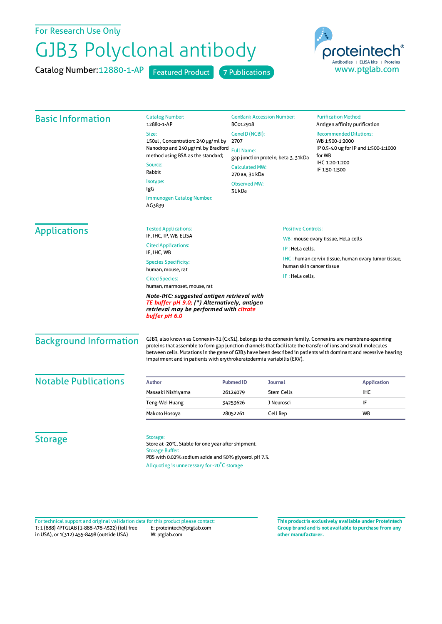## For Research Use Only

## GJB3 Polyclonal antibody

Catalog Number: 12880-1-AP Featured Product 7 Publications



| 150ul, Concentration: 240 µg/ml by<br>Nanodrop and 240 µg/ml by Bradford<br>method using BSA as the standard;                                          | BC012918<br>GenelD (NCBI):<br>2707<br><b>Full Name:</b>                        |                                                                                                             | Antigen affinity purification<br><b>Recommended Dilutions:</b>                                                                                                                                                                                                                                                                                                                                                                                                                                                                 |
|--------------------------------------------------------------------------------------------------------------------------------------------------------|--------------------------------------------------------------------------------|-------------------------------------------------------------------------------------------------------------|--------------------------------------------------------------------------------------------------------------------------------------------------------------------------------------------------------------------------------------------------------------------------------------------------------------------------------------------------------------------------------------------------------------------------------------------------------------------------------------------------------------------------------|
|                                                                                                                                                        |                                                                                |                                                                                                             |                                                                                                                                                                                                                                                                                                                                                                                                                                                                                                                                |
|                                                                                                                                                        |                                                                                |                                                                                                             | WB 1:500-1:2000<br>IP 0.5-4.0 ug for IP and 1:500-1:1000<br>for WB                                                                                                                                                                                                                                                                                                                                                                                                                                                             |
|                                                                                                                                                        |                                                                                |                                                                                                             |                                                                                                                                                                                                                                                                                                                                                                                                                                                                                                                                |
| Source:                                                                                                                                                |                                                                                | gap junction protein, beta 3, 31kDa                                                                         | IHC 1:20-1:200<br>IF 1:50-1:500                                                                                                                                                                                                                                                                                                                                                                                                                                                                                                |
| Rabbit                                                                                                                                                 | <b>Calculated MW:</b><br>270 aa, 31 kDa                                        |                                                                                                             |                                                                                                                                                                                                                                                                                                                                                                                                                                                                                                                                |
|                                                                                                                                                        | <b>Observed MW:</b>                                                            |                                                                                                             |                                                                                                                                                                                                                                                                                                                                                                                                                                                                                                                                |
|                                                                                                                                                        | 31 kDa                                                                         |                                                                                                             |                                                                                                                                                                                                                                                                                                                                                                                                                                                                                                                                |
| <b>Immunogen Catalog Number:</b>                                                                                                                       |                                                                                |                                                                                                             |                                                                                                                                                                                                                                                                                                                                                                                                                                                                                                                                |
| <b>Tested Applications:</b>                                                                                                                            |                                                                                | <b>Positive Controls:</b>                                                                                   |                                                                                                                                                                                                                                                                                                                                                                                                                                                                                                                                |
| IF, IHC, IP, WB, ELISA<br><b>Cited Applications:</b><br>IP: HeLa cells,<br>IF, IHC, WB                                                                 |                                                                                | WB: mouse ovary tissue, HeLa cells                                                                          |                                                                                                                                                                                                                                                                                                                                                                                                                                                                                                                                |
|                                                                                                                                                        |                                                                                |                                                                                                             |                                                                                                                                                                                                                                                                                                                                                                                                                                                                                                                                |
| <b>Species Specificity:</b>                                                                                                                            | human skin cancer tissue                                                       |                                                                                                             | IHC: human cervix tissue, human ovary tumor tissue,                                                                                                                                                                                                                                                                                                                                                                                                                                                                            |
| human, mouse, rat<br>IF: HeLa cells,<br><b>Cited Species:</b>                                                                                          |                                                                                |                                                                                                             |                                                                                                                                                                                                                                                                                                                                                                                                                                                                                                                                |
| human, marmoset, mouse, rat                                                                                                                            |                                                                                |                                                                                                             |                                                                                                                                                                                                                                                                                                                                                                                                                                                                                                                                |
| Note-IHC: suggested antigen retrieval with<br>TE buffer pH 9.0; (*) Alternatively, antigen<br>retrieval may be performed with citrate<br>buffer pH 6.0 |                                                                                |                                                                                                             |                                                                                                                                                                                                                                                                                                                                                                                                                                                                                                                                |
|                                                                                                                                                        |                                                                                |                                                                                                             |                                                                                                                                                                                                                                                                                                                                                                                                                                                                                                                                |
|                                                                                                                                                        |                                                                                |                                                                                                             | <b>Application</b>                                                                                                                                                                                                                                                                                                                                                                                                                                                                                                             |
|                                                                                                                                                        |                                                                                |                                                                                                             | <b>IHC</b>                                                                                                                                                                                                                                                                                                                                                                                                                                                                                                                     |
|                                                                                                                                                        |                                                                                |                                                                                                             | IF                                                                                                                                                                                                                                                                                                                                                                                                                                                                                                                             |
|                                                                                                                                                        |                                                                                |                                                                                                             | <b>WB</b>                                                                                                                                                                                                                                                                                                                                                                                                                                                                                                                      |
|                                                                                                                                                        |                                                                                |                                                                                                             |                                                                                                                                                                                                                                                                                                                                                                                                                                                                                                                                |
| PBS with 0.02% sodium azide and 50% glycerol pH 7.3.                                                                                                   |                                                                                |                                                                                                             |                                                                                                                                                                                                                                                                                                                                                                                                                                                                                                                                |
|                                                                                                                                                        | Masaaki Nishiyama<br>Teng-Wei Huang<br>Makoto Hosoya<br><b>Storage Buffer:</b> | <b>Pubmed ID</b><br>26124079<br>34253626<br>28052261<br>Store at -20°C. Stable for one year after shipment. | GJB3, also known as Connexin-31 (Cx31), belongs to the connexin family. Connexins are membrane-spanning<br>proteins that assemble to form gap junction channels that facilitate the transfer of ions and small molecules<br>between cells. Mutations in the gene of GJB3 have been described in patients with dominant and recessive hearing<br>impairment and in patients with erythrokeratodermia variabilis (EKV).<br>Journal<br><b>Stem Cells</b><br>J Neurosci<br>Cell Rep<br>Aliquoting is unnecessary for -20°C storage |

T: 1 (888) 4PTGLAB (1-888-478-4522) (toll free in USA), or 1(312) 455-8498 (outside USA) E: proteintech@ptglab.com W: ptglab.com Fortechnical support and original validation data forthis product please contact: **This productis exclusively available under Proteintech**

**Group brand and is not available to purchase from any other manufacturer.**